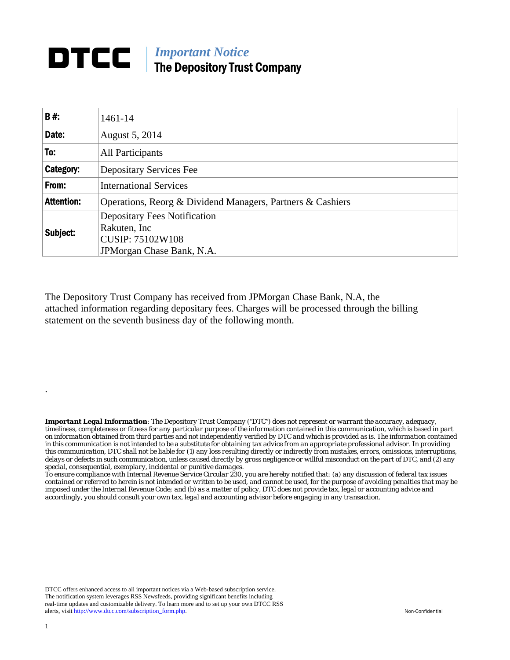## **DTCC** | *Important Notice* The Depository Trust Company

| B#:               | 1461-14                                                    |  |  |  |  |  |
|-------------------|------------------------------------------------------------|--|--|--|--|--|
| Date:             | August 5, 2014                                             |  |  |  |  |  |
| To:               | All Participants                                           |  |  |  |  |  |
| Category:         | <b>Depositary Services Fee</b>                             |  |  |  |  |  |
| From:             | <b>International Services</b>                              |  |  |  |  |  |
| <b>Attention:</b> | Operations, Reorg & Dividend Managers, Partners & Cashiers |  |  |  |  |  |
| Subject:          | <b>Depositary Fees Notification</b><br>Rakuten, Inc        |  |  |  |  |  |
|                   | <b>CUSIP: 75102W108</b><br>JPM organ Chase Bank, N.A.      |  |  |  |  |  |

The Depository Trust Company has received from JPMorgan Chase Bank, N.A, the attached information regarding depositary fees. Charges will be processed through the billing statement on the seventh business day of the following month.

*Important Legal Information: The Depository Trust Company ("DTC") does not represent or warrant the accuracy, adequacy, timeliness, completeness or fitness for any particular purpose of the information contained in this communication, which is based in part on information obtained from third parties and not independently verified by DTC and which is provided as is. The information contained in this communication is not intended to be a substitute for obtaining tax advice from an appropriate professional advisor. In providing this communication, DTC shall not be liable for (1) any loss resulting directly or indirectly from mistakes, errors, omissions, interruptions, delays or defects in such communication, unless caused directly by gross negligence or willful misconduct on the part of DTC, and (2) any special, consequential, exemplary, incidental or punitive damages.* 

*To ensure compliance with Internal Revenue Service Circular 230, you are hereby notified that: (a) any discussion of federal tax issues contained or referred to herein is not intended or written to be used, and cannot be used, for the purpose of avoiding penalties that may be imposed under the Internal Revenue Code; and (b) as a matter of policy, DTC does not provide tax, legal or accounting advice and accordingly, you should consult your own tax, legal and accounting advisor before engaging in any transaction.*

DTCC offers enhanced access to all important notices via a Web-based subscription service. The notification system leverages RSS Newsfeeds, providing significant benefits including real-time updates and customizable delivery. To learn more and to set up your own DTCC RSS alerts, visit http://www.dtcc.com/subscription\_form.php. Non-Confidential

.